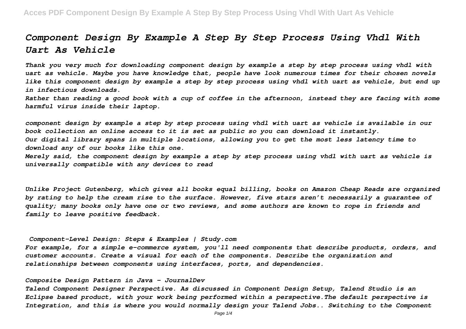# *Component Design By Example A Step By Step Process Using Vhdl With Uart As Vehicle*

*Thank you very much for downloading component design by example a step by step process using vhdl with uart as vehicle. Maybe you have knowledge that, people have look numerous times for their chosen novels like this component design by example a step by step process using vhdl with uart as vehicle, but end up in infectious downloads.*

*Rather than reading a good book with a cup of coffee in the afternoon, instead they are facing with some harmful virus inside their laptop.*

*component design by example a step by step process using vhdl with uart as vehicle is available in our book collection an online access to it is set as public so you can download it instantly. Our digital library spans in multiple locations, allowing you to get the most less latency time to download any of our books like this one. Merely said, the component design by example a step by step process using vhdl with uart as vehicle is universally compatible with any devices to read*

*Unlike Project Gutenberg, which gives all books equal billing, books on Amazon Cheap Reads are organized by rating to help the cream rise to the surface. However, five stars aren't necessarily a guarantee of quality; many books only have one or two reviews, and some authors are known to rope in friends and family to leave positive feedback.*

### *Component-Level Design: Steps & Examples | Study.com*

*For example, for a simple e-commerce system, you'll need components that describe products, orders, and customer accounts. Create a visual for each of the components. Describe the organization and relationships between components using interfaces, ports, and dependencies.*

### *Composite Design Pattern in Java - JournalDev*

*Talend Component Designer Perspective. As discussed in Component Design Setup, Talend Studio is an Eclipse based product, with your work being performed within a perspective.The default perspective is Integration, and this is where you would normally design your Talend Jobs.. Switching to the Component*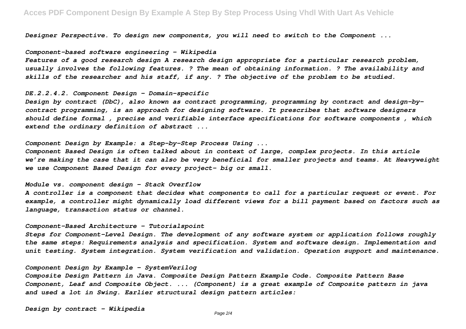*Designer Perspective. To design new components, you will need to switch to the Component ...*

### *Component-based software engineering - Wikipedia*

*Features of a good research design A research design appropriate for a particular research problem, usually involves the following features. ? The mean of obtaining information. ? The availability and skills of the researcher and his staff, if any. ? The objective of the problem to be studied.*

### *DE.2.2.4.2. Component Design - Domain-specific*

*Design by contract (DbC), also known as contract programming, programming by contract and design-bycontract programming, is an approach for designing software. It prescribes that software designers should define formal , precise and verifiable interface specifications for software components , which extend the ordinary definition of abstract ...*

### *Component Design by Example: a Step-by-Step Process Using ...*

*Component Based Design is often talked about in context of large, complex projects. In this article we're making the case that it can also be very beneficial for smaller projects and teams. At Heavyweight we use Component Based Design for every project– big or small.*

### *Module vs. component design - Stack Overflow*

*A controller is a component that decides what components to call for a particular request or event. For example, a controller might dynamically load different views for a bill payment based on factors such as language, transaction status or channel.*

### *Component-Based Architecture - Tutorialspoint*

*Steps for Component-Level Design. The development of any software system or application follows roughly the same steps: Requirements analysis and specification. System and software design. Implementation and unit testing. System integration. System verification and validation. Operation support and maintenance.*

### *Component Design by Example - SystemVerilog*

*Composite Design Pattern in Java. Composite Design Pattern Example Code. Composite Pattern Base Component, Leaf and Composite Object. ... (Component) is a great example of Composite pattern in java and used a lot in Swing. Earlier structural design pattern articles:*

*Design by contract - Wikipedia*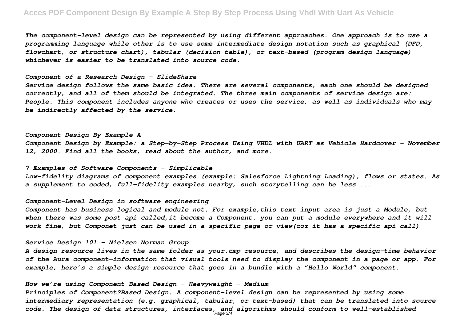# **Acces PDF Component Design By Example A Step By Step Process Using Vhdl With Uart As Vehicle**

*The component-level design can be represented by using different approaches. One approach is to use a programming language while other is to use some intermediate design notation such as graphical (DFD, flowchart, or structure chart), tabular (decision table), or text-based (program design language) whichever is easier to be translated into source code.*

#### *Component of a Research Design - SlideShare*

*Service design follows the same basic idea. There are several components, each one should be designed correctly, and all of them should be integrated. The three main components of service design are: People. This component includes anyone who creates or uses the service, as well as individuals who may be indirectly affected by the service.*

### *Component Design By Example A*

*Component Design by Example: a Step-by-Step Process Using VHDL with UART as Vehicle Hardcover – November 12, 2000. Find all the books, read about the author, and more.*

### *7 Examples of Software Components - Simplicable*

*Low-fidelity diagrams of component examples (example: Salesforce Lightning Loading), flows or states. As a supplement to coded, full-fidelity examples nearby, such storytelling can be less ...*

### *Component-Level Design in software engineering*

*Component has business logical and module not. For example,this text input area is just a Module, but* when there was some post api called, it become a Component. you can put a module everywhere and it will *work fine, but Componet just can be used in a specific page or view(coz it has a specific api call)*

*Service Design 101 - Nielsen Norman Group*

*A design resource lives in the same folder as your.cmp resource, and describes the design-time behavior of the Aura component—information that visual tools need to display the component in a page or app. For example, here's a simple design resource that goes in a bundle with a "Hello World" component.*

### *How we're using Component Based Design - Heavyweight - Medium*

*Principles of Component?Based Design. A component-level design can be represented by using some intermediary representation (e.g. graphical, tabular, or text-based) that can be translated into source code. The design of data structures, interfaces, and algorithms should conform to well-established* Page 3/4